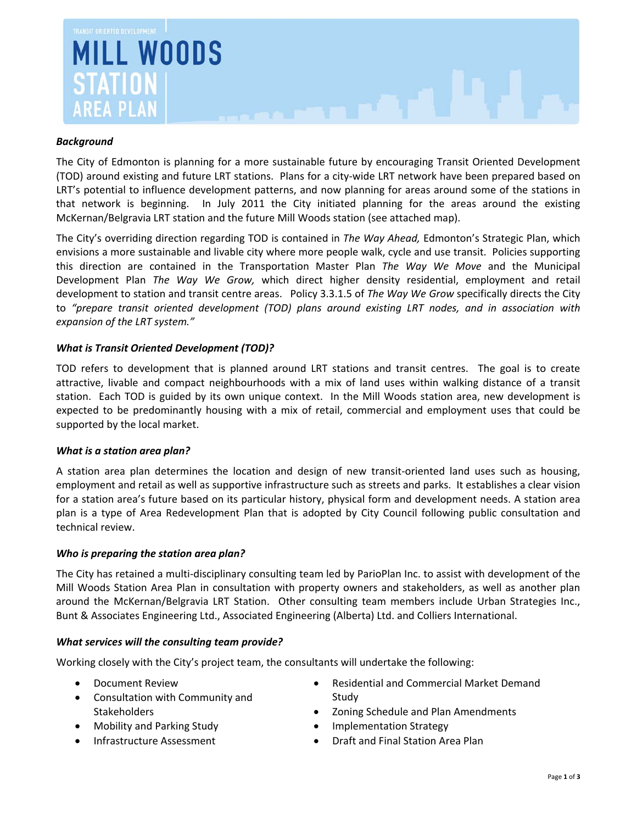

# *Background*

The City of Edmonton is planning for a more sustainable future by encouraging Transit Oriented Development (TOD) around existing and future LRT stations. Plans for a city‐wide LRT network have been prepared based on LRT's potential to influence development patterns, and now planning for areas around some of the stations in that network is beginning. In July 2011 the City initiated planning for the areas around the existing McKernan/Belgravia LRT station and the future Mill Woods station (see attached map).

The City's overriding direction regarding TOD is contained in *The Way Ahead,* Edmonton's Strategic Plan, which envisions a more sustainable and livable city where more people walk, cycle and use transit. Policies supporting this direction are contained in the Transportation Master Plan *The Way We Move* and the Municipal Development Plan *The Way We Grow,* which direct higher density residential, employment and retail development to station and transit centre areas. Policy 3.3.1.5 of *The Way We Grow* specifically directs the City to *"prepare transit oriented development (TOD) plans around existing LRT nodes, and in association with expansion of the LRT system."*

## *What is Transit Oriented Development (TOD)?*

TOD refers to development that is planned around LRT stations and transit centres. The goal is to create attractive, livable and compact neighbourhoods with a mix of land uses within walking distance of a transit station. Each TOD is guided by its own unique context. In the Mill Woods station area, new development is expected to be predominantly housing with a mix of retail, commercial and employment uses that could be supported by the local market.

### *What is a station area plan?*

A station area plan determines the location and design of new transit‐oriented land uses such as housing, employment and retail as well as supportive infrastructure such as streets and parks. It establishes a clear vision for a station area's future based on its particular history, physical form and development needs. A station area plan is a type of Area Redevelopment Plan that is adopted by City Council following public consultation and technical review.

### *Who is preparing the station area plan?*

The City has retained a multi‐disciplinary consulting team led by ParioPlan Inc. to assist with development of the Mill Woods Station Area Plan in consultation with property owners and stakeholders, as well as another plan around the McKernan/Belgravia LRT Station. Other consulting team members include Urban Strategies Inc., Bunt & Associates Engineering Ltd., Associated Engineering (Alberta) Ltd. and Colliers International.

### *What services will the consulting team provide?*

Working closely with the City's project team, the consultants will undertake the following:

- Document Review
- Consultation with Community and Stakeholders
- Mobility and Parking Study
- Infrastructure Assessment
- Residential and Commercial Market Demand Study
- Zoning Schedule and Plan Amendments
- Implementation Strategy
- Draft and Final Station Area Plan